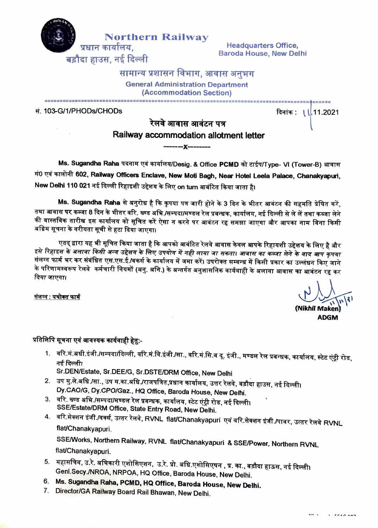

**Northern Railway**<br>
Headquarters Office,<br>
Baroda House, New Delhi

## सामान्य प्रशासन विभाग, आवास अनभग

General Administration Department (Accommodation Section)

#### सं. 103-G/1/PHODs/CHODs

# · ========::~~~:=:l~~•: ==========••=•~:·i:~·-~·\l~-~~;~21

Railway accommodation allotment letter **--x----** Ms. Sugandha Raha पदनाम एवं कार्यालय/Desig. & Office PCMD को टाईप/Type- VI (Tower-B) आवास सं0 एवं कालोनी 602, R<mark>ailway Officers Enclave, New Moti Bagh, Near Hotel Leela Palace, Chanakyapuri,</mark>

New Delhi 110 021 नई दिल्ली रिहाइशी उद्देशय के लिए on turn आबंटित किया जाता है।

**Ms. Sugandha Raha** से अनुरोध है कि कृपया पत्र जारी होने के 3 दिन के भीतर आवंटन की सहमति प्रेषित करें, तथा आवास <mark>पर</mark> कब्जा 8 दिन के भीतर वरि. ख्ण्ड अभि./सम्पदा/मण्डल रेल प्रबन्धक, कार्यालय, नई दिल्ली से ले लें तथा कब्जा लेने की वास्तविक तारीख इस कार्यालय को सूचित करें ऐसा न करने पर आवंटन रद्द समझा जाएगा और आपका नाम बिना किसी अग्रिम सूचना के वरीयता सूची से हटा दिया जाएगा।

एतद् द्वारा यह भी सूचित किया जाता है कि आपको आबंटित रेलवे आवास केवल आपके रिहायशी उद्देशय के लिए है और इसे रिहाइश के अलावा किसी अन्य उद्देशय के लिए उपयोग में नही लाया जा सकता। आवास का कब्जा लेने के बाद आप कृपया संलग्न फार्म भर कर संबंधित एस.एस.ई./वर्क्स के कार्यालय में जमा करें। उपरोक्त सम्बन्ध में किसी प्रकार का उल्लंधन किए जाने र स्वर्गत कर कर से समय इस इस हमारी के मानसदाय गंजना करा उपराक्त सम्बन्ध में किया अकार का उल्लंधन किए जाने<br>के परिणामस्वरूप रेलवे कर्मचारी नियमों (अनु. अनि.) के अन्तर्गत अनुशासनिक कार्यवाही के अलावा आवास का आवंटन रद्द<br>दिय

<u>, क्षेत्रान: यथोक्त फार्म</u><br>संलग्न: <u>यथोक्त फार्म</u>  $\sqrt{3}$ 

 $\cdot$   $\cdot$   $\cdot$   $\cdot$   $\cdot$   $\cdot$   $\cdot$   $\cdot$ 

**(Nikhif Maken ADGM** 

### प्रतिलिपि सूचना एवं आवश्यक कार्यवाही हेतु:-

1. वरि.मं.अधी.इंजी./सम्पदा/दिल्ली, वरि.मं.वि.इंजी./सा., वरि.मं.सि.व दू. इंजी., मण्डल रेल प्रबन्धक, कार्यालय, स्टेट एंटी रोड, ..........<br>नई दिल्ली।

Sr.DEN/Estate, Sr.DEE/G, Sr.DSTE/DRM Office, New Delhi

- 2. उप मु.ले.अधि./सा., उप म.का.अधि./राजपत्रित,प्रधान कार्यालय, उत्तर रेलवे, बड़ौदा हाउस, नई दिल्ली। Dy.CAO/G, Dy.CPO/Gaz., HQ Office, Baroda House, New Defhi.
- 3. वरि. ख्ण्ड अभि./सम्पदा/मण्डल रेल प्रबन्धक, कार्यालय, स्टेट एंट्री रोड, नई दिल्ली। SSE/Estate/ORM Office, State Entry Road, New Delhi.
- 4. वरि.सेक्शन इंजी./वर्क्स, उत्तर रेलवे, RVNL flat/Chanakyapuri एवं वरि.सेक्शन इंजी./पावर, उत्तर रेलवे RVNL flat/Chanakyapuri.

SSE/Works, Northern Railway, RVNL flat/Chanakyapuri & SSE/Power, Northern RVNL flat/Chanakyapuri.

- 5. महासचिव, उ.रे. अघिकारी एशोसिएशन, उ.रे. प्रो. अधि.एशोसिएषन , प्र. का., बड़ौदा हाऊस, नई दिल्ली। Genl.Secy./NROA, NRPOA, HQ Office, Baroda House, New Delhi.
- 6. **Ms. Sugandha Raha, PCMD, HQ Office, Baroda House, New Delhi.**
- 7. Director/GA Railway Board Rail Bhawan, New Delhi.